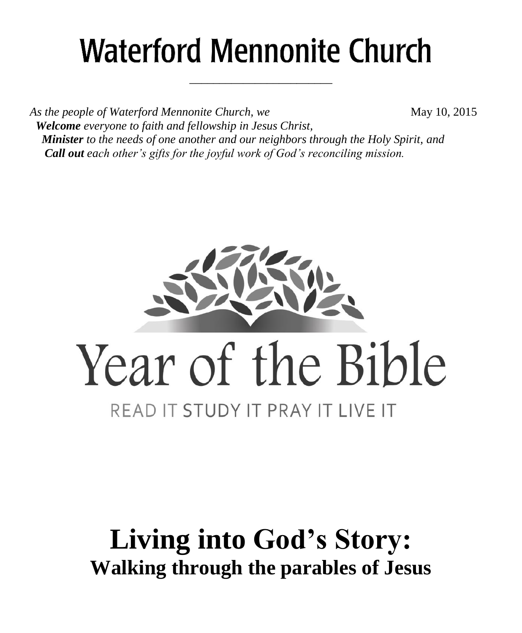# **Waterford Mennonite Church**

\_\_\_\_\_\_\_\_\_\_\_\_\_\_\_\_\_\_\_\_\_\_\_\_

*As the people of Waterford Mennonite Church, we* May 10, 2015  *Welcome everyone to faith and fellowship in Jesus Christ, Minister to the needs of one another and our neighbors through the Holy Spirit, and Call out each other's gifts for the joyful work of God's reconciling mission.*



# **Living into God's Story: Walking through the parables of Jesus**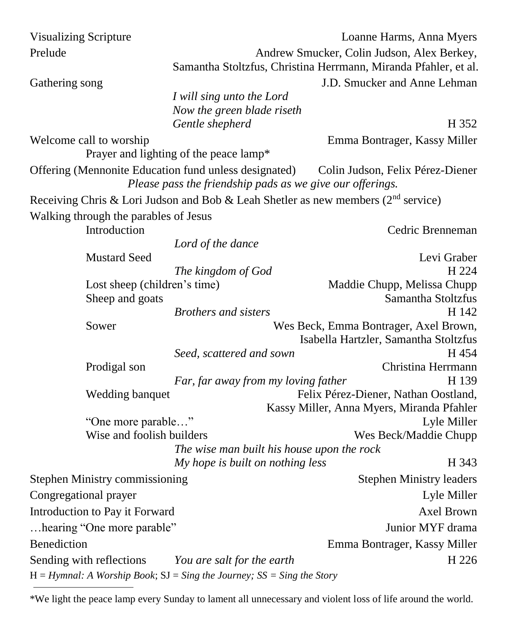| <b>Visualizing Scripture</b>                                                  |                                               | Loanne Harms, Anna Myers                                                             |
|-------------------------------------------------------------------------------|-----------------------------------------------|--------------------------------------------------------------------------------------|
| Prelude                                                                       |                                               | Andrew Smucker, Colin Judson, Alex Berkey,                                           |
|                                                                               |                                               | Samantha Stoltzfus, Christina Herrmann, Miranda Pfahler, et al.                      |
| Gathering song                                                                |                                               | J.D. Smucker and Anne Lehman                                                         |
|                                                                               | I will sing unto the Lord                     |                                                                                      |
|                                                                               | Now the green blade riseth<br>Gentle shepherd | H 352                                                                                |
| Welcome call to worship                                                       |                                               | Emma Bontrager, Kassy Miller                                                         |
|                                                                               | Prayer and lighting of the peace lamp*        |                                                                                      |
| Offering (Mennonite Education fund unless designated)                         |                                               | Colin Judson, Felix Pérez-Diener                                                     |
|                                                                               |                                               | Please pass the friendship pads as we give our offerings.                            |
|                                                                               |                                               | Receiving Chris & Lori Judson and Bob & Leah Shetler as new members ( $2nd$ service) |
| Walking through the parables of Jesus                                         |                                               |                                                                                      |
| Introduction                                                                  |                                               | Cedric Brenneman                                                                     |
|                                                                               | Lord of the dance                             |                                                                                      |
| <b>Mustard Seed</b>                                                           |                                               | Levi Graber                                                                          |
|                                                                               | The kingdom of God                            | H 224                                                                                |
| Lost sheep (children's time)                                                  |                                               | Maddie Chupp, Melissa Chupp                                                          |
| Sheep and goats                                                               | <b>Brothers and sisters</b>                   | Samantha Stoltzfus<br>H 142                                                          |
| Sower                                                                         |                                               | Wes Beck, Emma Bontrager, Axel Brown,                                                |
|                                                                               |                                               | Isabella Hartzler, Samantha Stoltzfus                                                |
|                                                                               | Seed, scattered and sown                      | H 454                                                                                |
| Prodigal son                                                                  |                                               | Christina Herrmann                                                                   |
|                                                                               | Far, far away from my loving father           | H 139                                                                                |
| Wedding banquet                                                               |                                               | Felix Pérez-Diener, Nathan Oostland,                                                 |
|                                                                               |                                               | Kassy Miller, Anna Myers, Miranda Pfahler                                            |
| "One more parable"                                                            |                                               | Lyle Miller                                                                          |
| Wise and foolish builders                                                     |                                               | Wes Beck/Maddie Chupp                                                                |
|                                                                               |                                               | The wise man built his house upon the rock                                           |
|                                                                               | My hope is built on nothing less              | H 343                                                                                |
| Stephen Ministry commissioning                                                |                                               | <b>Stephen Ministry leaders</b>                                                      |
| Congregational prayer                                                         |                                               | Lyle Miller                                                                          |
| Introduction to Pay it Forward                                                |                                               | Axel Brown                                                                           |
| hearing "One more parable"                                                    |                                               | Junior MYF drama                                                                     |
| <b>Benediction</b>                                                            |                                               | Emma Bontrager, Kassy Miller                                                         |
| Sending with reflections                                                      | You are salt for the earth                    | H 226                                                                                |
| $H = Hymnal$ : A Worship Book; $SI = Sing$ the Journey; $SS = Sing$ the Story |                                               |                                                                                      |

<sup>\*</sup>We light the peace lamp every Sunday to lament all unnecessary and violent loss of life around the world.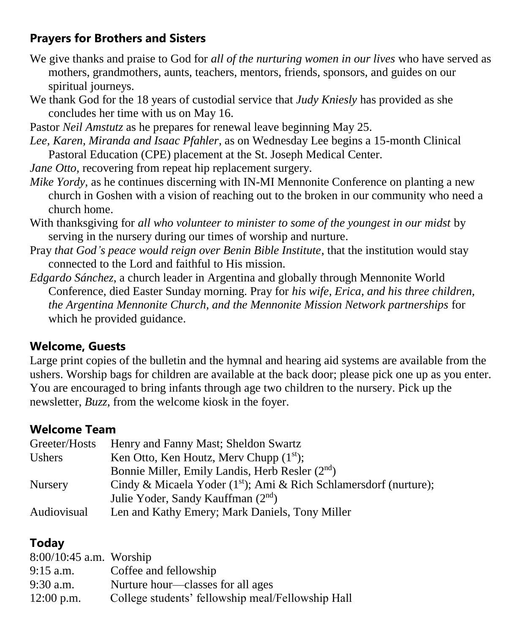# **Prayers for Brothers and Sisters**

- We give thanks and praise to God for *all of the nurturing women in our lives* who have served as mothers, grandmothers, aunts, teachers, mentors, friends, sponsors, and guides on our spiritual journeys.
- We thank God for the 18 years of custodial service that *Judy Kniesly* has provided as she concludes her time with us on May 16.
- Pastor *Neil Amstutz* as he prepares for renewal leave beginning May 25.
- *Lee, Karen, Miranda and Isaac Pfahler*, as on Wednesday Lee begins a 15-month Clinical Pastoral Education (CPE) placement at the St. Joseph Medical Center.
- *Jane Otto,* recovering from repeat hip replacement surgery.
- *Mike Yordy,* as he continues discerning with IN-MI Mennonite Conference on planting a new church in Goshen with a vision of reaching out to the broken in our community who need a church home.
- With thanksgiving for *all who volunteer to minister to some of the youngest in our midst* by serving in the nursery during our times of worship and nurture.
- Pray *that God's peace would reign over Benin Bible Institute*, that the institution would stay connected to the Lord and faithful to His mission.
- *Edgardo Sánchez*, a church leader in Argentina and globally through Mennonite World Conference, died Easter Sunday morning. Pray for *his wife, Erica, and his three children, the Argentina Mennonite Church, and the Mennonite Mission Network partnerships* for which he provided guidance.

# **Welcome, Guests**

Large print copies of the bulletin and the hymnal and hearing aid systems are available from the ushers. Worship bags for children are available at the back door; please pick one up as you enter. You are encouraged to bring infants through age two children to the nursery. Pick up the newsletter, *Buzz,* from the welcome kiosk in the foyer.

# **Welcome Team**

| Greeter/Hosts  | Henry and Fanny Mast; Sheldon Swartz                                |
|----------------|---------------------------------------------------------------------|
| <b>Ushers</b>  | Ken Otto, Ken Houtz, Merv Chupp $(1st)$ ;                           |
|                | Bonnie Miller, Emily Landis, Herb Resler (2 <sup>nd</sup> )         |
| <b>Nursery</b> | Cindy & Micaela Yoder $(1st)$ ; Ami & Rich Schlamersdorf (nurture); |
|                | Julie Yoder, Sandy Kauffman (2 <sup>nd</sup> )                      |
| Audiovisual    | Len and Kathy Emery; Mark Daniels, Tony Miller                      |

# **Today**

| $8:00/10:45$ a.m. Worship |                                                   |
|---------------------------|---------------------------------------------------|
| $9:15$ a.m.               | Coffee and fellowship                             |
| $9:30$ a.m.               | Nurture hour—classes for all ages                 |
| $12:00$ p.m.              | College students' fellowship meal/Fellowship Hall |